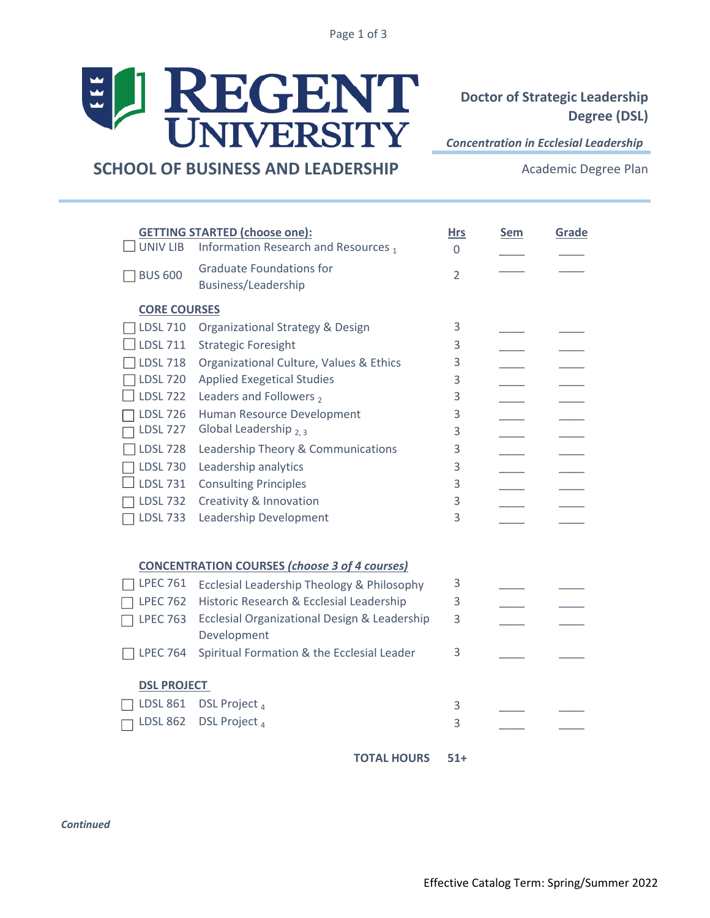Page 1 of 3



**Doctor of Strategic Leadership Degree (DSL)**

*Concentration in Ecclesial Leadership* 

**SCHOOL OF BUSINESS AND LEADERSHIP**

Academic Degree Plan

| UNIV LIB                                                                       | <b>GETTING STARTED (choose one):</b><br>Information Research and Resources,<br><b>Graduate Foundations for</b> | <b>Hrs</b><br>$\Omega$ | <b>Sem</b> | Grade |
|--------------------------------------------------------------------------------|----------------------------------------------------------------------------------------------------------------|------------------------|------------|-------|
| <b>BUS 600</b><br>$\overline{2}$<br>Business/Leadership<br><b>CORE COURSES</b> |                                                                                                                |                        |            |       |
| <b>LDSL 710</b>                                                                | Organizational Strategy & Design                                                                               | 3                      |            |       |
| <b>LDSL 711</b>                                                                | <b>Strategic Foresight</b>                                                                                     | 3                      |            |       |
|                                                                                |                                                                                                                |                        |            |       |
| <b>LDSL 718</b>                                                                | Organizational Culture, Values & Ethics                                                                        | 3                      |            |       |
| <b>LDSL 720</b>                                                                | <b>Applied Exegetical Studies</b>                                                                              | 3                      |            |       |
| <b>LDSL 722</b>                                                                | Leaders and Followers,                                                                                         | 3                      |            |       |
| <b>LDSL 726</b>                                                                | Human Resource Development                                                                                     | 3                      |            |       |
| <b>LDSL 727</b>                                                                | Global Leadership 2.3                                                                                          | 3                      |            |       |
| <b>LDSL 728</b>                                                                | Leadership Theory & Communications                                                                             | 3                      |            |       |
| <b>LDSL 730</b>                                                                | Leadership analytics                                                                                           | 3                      |            |       |
| <b>LDSL 731</b>                                                                | <b>Consulting Principles</b>                                                                                   | 3                      |            |       |
| <b>LDSL 732</b>                                                                | Creativity & Innovation                                                                                        | 3                      |            |       |
| <b>LDSL 733</b>                                                                | Leadership Development                                                                                         | 3                      |            |       |
| <b>CONCENTRATION COURSES (choose 3 of 4 courses)</b>                           |                                                                                                                |                        |            |       |
| <b>LPEC 761</b>                                                                | Ecclesial Leadership Theology & Philosophy                                                                     | 3                      |            |       |
| <b>LPEC 762</b>                                                                | Historic Research & Ecclesial Leadership                                                                       | 3                      |            |       |
| <b>LPEC 763</b>                                                                | Ecclesial Organizational Design & Leadership                                                                   | 3                      |            |       |
|                                                                                | Development                                                                                                    |                        |            |       |
| <b>LPEC 764</b>                                                                | Spiritual Formation & the Ecclesial Leader                                                                     | 3                      |            |       |
| <b>DSL PROJECT</b>                                                             |                                                                                                                |                        |            |       |
| <b>LDSL 861</b>                                                                | DSL Project <sub>4</sub>                                                                                       | 3                      |            |       |
| <b>LDSL 862</b>                                                                | DSL Project <sub>4</sub>                                                                                       | 3                      |            |       |
|                                                                                |                                                                                                                |                        |            |       |

**51+ TOTAL HOURS**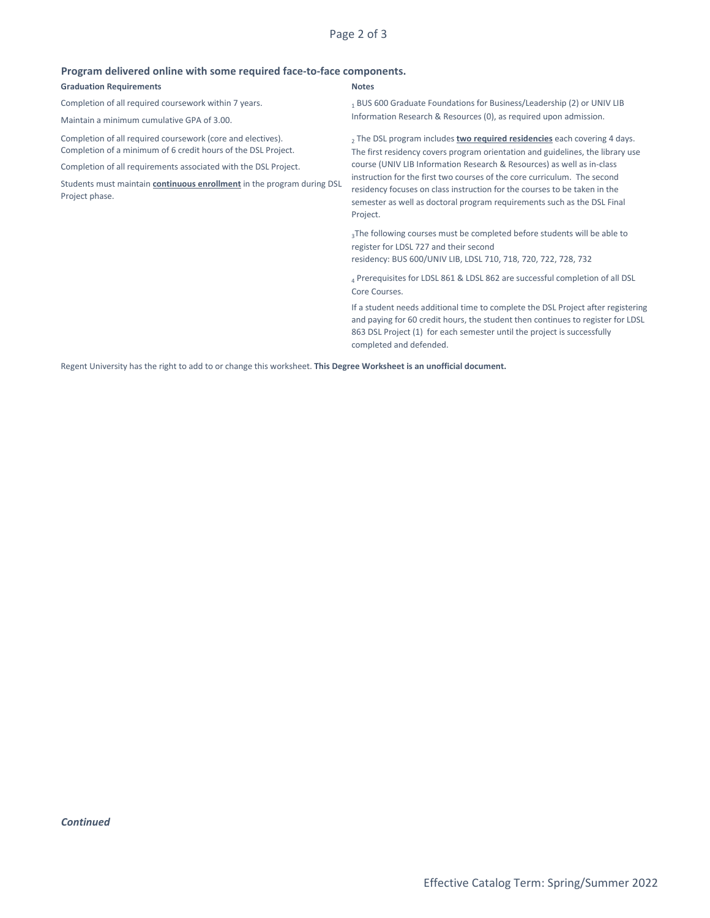Page 2 of 3

| <u>Program delivered omnie with some regulied late-to-late components.</u> |                                                           |  |  |  |
|----------------------------------------------------------------------------|-----------------------------------------------------------|--|--|--|
| <b>Graduation Requirements</b>                                             | <b>Notes</b>                                              |  |  |  |
| Completion of all required coursework within 7 years.                      | BUS 600 Graduate Foundations for Business/Le              |  |  |  |
| Maintain a minimum cumulative GPA of 3.00.                                 | Information Research & Resources (0), as requir           |  |  |  |
| Completion of all required coursework (core and electives).                | <sub>2</sub> The DSL program includes two required reside |  |  |  |
| Completion of a minimum of 6 credit hours of the DSL Project.              | The first residency covers program orientation a          |  |  |  |
| Completion of all requirements associated with the DSL Project.            | course (UNIV LIB Information Research & Resou             |  |  |  |

Students must maintain **continuous enrollment** in the program during DSL Project phase.

## **Program delivered online with some required face-to-face components.**

eadership (2) or UNIV LIB ed upon admission.

**ncies** each covering 4 days. Ind guidelines, the library use course (UNIV LIB Information Research & Resources) as well as in-class instruction for the first two courses of the core curriculum. The second residency focuses on class instruction for the courses to be taken in the semester as well as doctoral program requirements such as the DSL Final Project.

3The following courses must be completed before students will be able to register for LDSL 727 and their second

residency: BUS 600/UNIV LIB, LDSL 710, 718, 720, 722, 728, 732

4 Prerequisites for LDSL 861 & LDSL 862 are successful completion of all DSL Core Courses.

If a student needs additional time to complete the DSL Project after registering and paying for 60 credit hours, the student then continues to register for LDSL 863 DSL Project (1) for each semester until the project is successfully completed and defended.

Regent University has the right to add to or change this worksheet. **This Degree Worksheet is an unofficial document.**